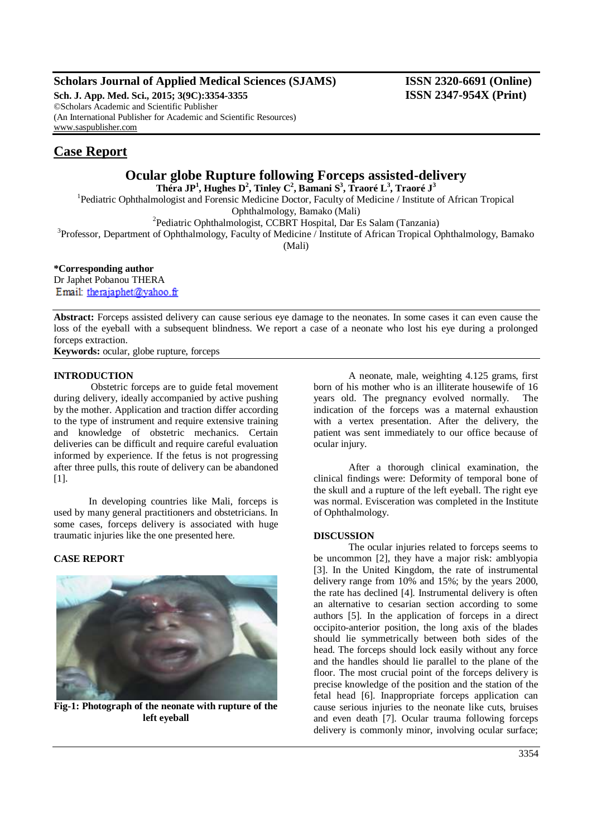## **Scholars Journal of Applied Medical Sciences (SJAMS) ISSN 2320-6691 (Online)**

**Sch. J. App. Med. Sci., 2015; 3(9C):3354-3355 ISSN 2347-954X (Print)** ©Scholars Academic and Scientific Publisher (An International Publisher for Academic and Scientific Resources) [www.saspublisher.com](http://www.saspublisher.com/)

# **Case Report**

# **Ocular globe Rupture following Forceps assisted-delivery**

**Théra JP<sup>1</sup> , Hughes D<sup>2</sup> , Tinley C<sup>2</sup> , Bamani S<sup>3</sup> , Traoré L<sup>3</sup> , Traoré J<sup>3</sup>**

<sup>1</sup>Pediatric Ophthalmologist and Forensic Medicine Doctor, Faculty of Medicine / Institute of African Tropical Ophthalmology, Bamako (Mali)

2 Pediatric Ophthalmologist, CCBRT Hospital, Dar Es Salam (Tanzania)

<sup>3</sup>Professor, Department of Ophthalmology, Faculty of Medicine / Institute of African Tropical Ophthalmology, Bamako

(Mali)

**\*Corresponding author** Dr Japhet Pobanou THERA Email: therajaphet@yahoo.fr

**Abstract:** Forceps assisted delivery can cause serious eye damage to the neonates. In some cases it can even cause the loss of the eyeball with a subsequent blindness. We report a case of a neonate who lost his eye during a prolonged forceps extraction.

**Keywords:** ocular, globe rupture, forceps

### **INTRODUCTION**

 Obstetric forceps are to guide fetal movement during delivery, ideally accompanied by active pushing by the mother. Application and traction differ according to the type of instrument and require extensive training and knowledge of obstetric mechanics. Certain deliveries can be difficult and require careful evaluation informed by experience. If the fetus is not progressing after three pulls, this route of delivery can be abandoned [1].

In developing countries like Mali, forceps is used by many general practitioners and obstetricians. In some cases, forceps delivery is associated with huge traumatic injuries like the one presented here.

## **CASE REPORT**



**Fig-1: Photograph of the neonate with rupture of the left eyeball**

A neonate, male, weighting 4.125 grams, first born of his mother who is an illiterate housewife of 16 years old. The pregnancy evolved normally. The indication of the forceps was a maternal exhaustion with a vertex presentation. After the delivery, the patient was sent immediately to our office because of ocular injury.

After a thorough clinical examination, the clinical findings were: Deformity of temporal bone of the skull and a rupture of the left eyeball. The right eye was normal. Evisceration was completed in the Institute of Ophthalmology.

### **DISCUSSION**

The ocular injuries related to forceps seems to be uncommon [2], they have a major risk: amblyopia [3]. In the United Kingdom, the rate of instrumental delivery range from 10% and 15%; by the years 2000, the rate has declined [4]. Instrumental delivery is often an alternative to cesarian section according to some authors [5]. In the application of forceps in a direct occipito-anterior position, the long axis of the blades should lie symmetrically between both sides of the head. The forceps should lock easily without any force and the handles should lie parallel to the plane of the floor. The most crucial point of the forceps delivery is precise knowledge of the position and the station of the fetal head [6]. Inappropriate forceps application can cause serious injuries to the neonate like cuts, bruises and even death [7]. Ocular trauma following forceps delivery is commonly minor, involving ocular surface;